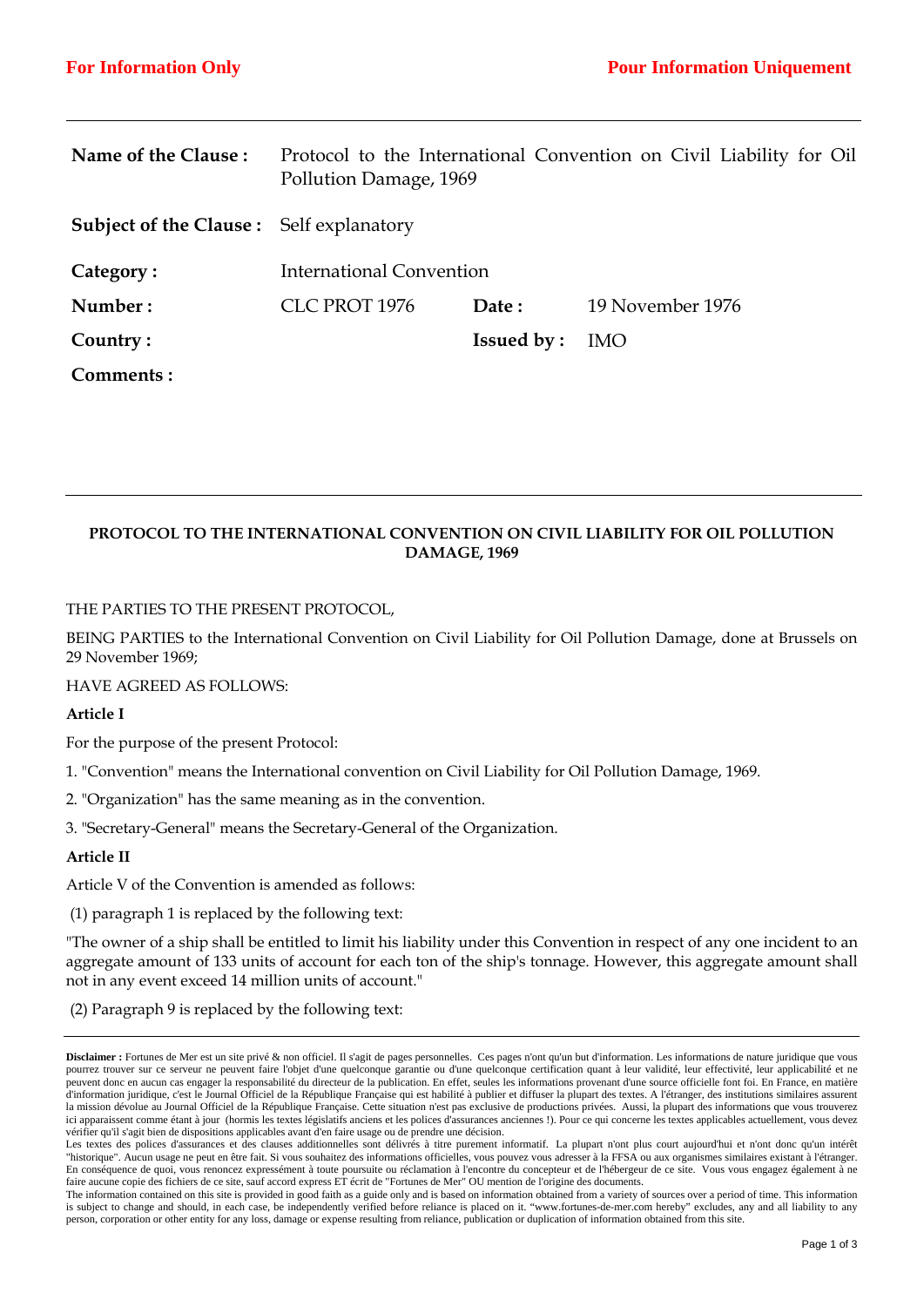| Name of the Clause:                            | Protocol to the International Convention on Civil Liability for Oil<br>Pollution Damage, 1969 |                   |                  |
|------------------------------------------------|-----------------------------------------------------------------------------------------------|-------------------|------------------|
| <b>Subject of the Clause:</b> Self explanatory |                                                                                               |                   |                  |
| Category:                                      | <b>International Convention</b>                                                               |                   |                  |
| Number:                                        | CLC PROT 1976                                                                                 | Date:             | 19 November 1976 |
| Country:                                       |                                                                                               | <b>Issued by:</b> | <b>IMO</b>       |
| Comments:                                      |                                                                                               |                   |                  |

# **PROTOCOL TO THE INTERNATIONAL CONVENTION ON CIVIL LIABILITY FOR OIL POLLUTION DAMAGE, 1969**

#### THE PARTIES TO THE PRESENT PROTOCOL,

BEING PARTIES to the International Convention on Civil Liability for Oil Pollution Damage, done at Brussels on 29 November 1969;

#### HAVE AGREED AS FOLLOWS:

## **Article I**

For the purpose of the present Protocol:

1. "Convention" means the International convention on Civil Liability for Oil Pollution Damage, 1969.

2. "Organization" has the same meaning as in the convention.

3. "Secretary-General" means the Secretary-General of the Organization.

## **Article II**

Article V of the Convention is amended as follows:

(1) paragraph 1 is replaced by the following text:

"The owner of a ship shall be entitled to limit his liability under this Convention in respect of any one incident to an aggregate amount of 133 units of account for each ton of the ship's tonnage. However, this aggregate amount shall not in any event exceed 14 million units of account."

(2) Paragraph 9 is replaced by the following text:

**Disclaimer :** Fortunes de Mer est un site privé & non officiel. Il s'agit de pages personnelles. Ces pages n'ont qu'un but d'information. Les informations de nature juridique que vous pourrez trouver sur ce serveur ne peuvent faire l'objet d'une quelconque garantie ou d'une quelconque certification quant à leur validité, leur effectivité, leur applicabilité et ne peuvent donc en aucun cas engager la responsabilité du directeur de la publication. En effet, seules les informations provenant d'une source officielle font foi. En France, en matière d'information juridique, c'est le Journal Officiel de la République Française qui est habilité à publier et diffuser la plupart des textes. A l'étranger, des institutions similaires assurent la mission dévolue au Journal Officiel de la République Française. Cette situation n'est pas exclusive de productions privées. Aussi, la plupart des informations que vous trouverez ici apparaissent comme étant à jour (hormis les textes législatifs anciens et les polices d'assurances anciennes !). Pour ce qui concerne les textes applicables actuellement, vous devez vérifier qu'il s'agit bien de dispositions applicables avant d'en faire usage ou de prendre une décision.

Les textes des polices d'assurances et des clauses additionnelles sont délivrés à titre purement informatif. La plupart n'ont plus court aujourd'hui et n'ont donc qu'un intérêt "historique". Aucun usage ne peut en être fait. Si vous souhaitez des informations officielles, vous pouvez vous adresser à la FFSA ou aux organismes similaires existant à l'étranger. En conséquence de quoi, vous renoncez expressément à toute poursuite ou réclamation à l'encontre du concepteur et de l'hébergeur de ce site. Vous vous engagez également à ne faire aucune copie des fichiers de ce site, sauf accord express ET écrit de "Fortunes de Mer" OU mention de l'origine des documents.

The information contained on this site is provided in good faith as a guide only and is based on information obtained from a variety of sources over a period of time. This information is subject to change and should, in each case, be independently verified before reliance is placed on it. "www.fortunes-de-mer.com hereby" excludes, any and all liability to any person, corporation or other entity for any loss, damage or expense resulting from reliance, publication or duplication of information obtained from this site.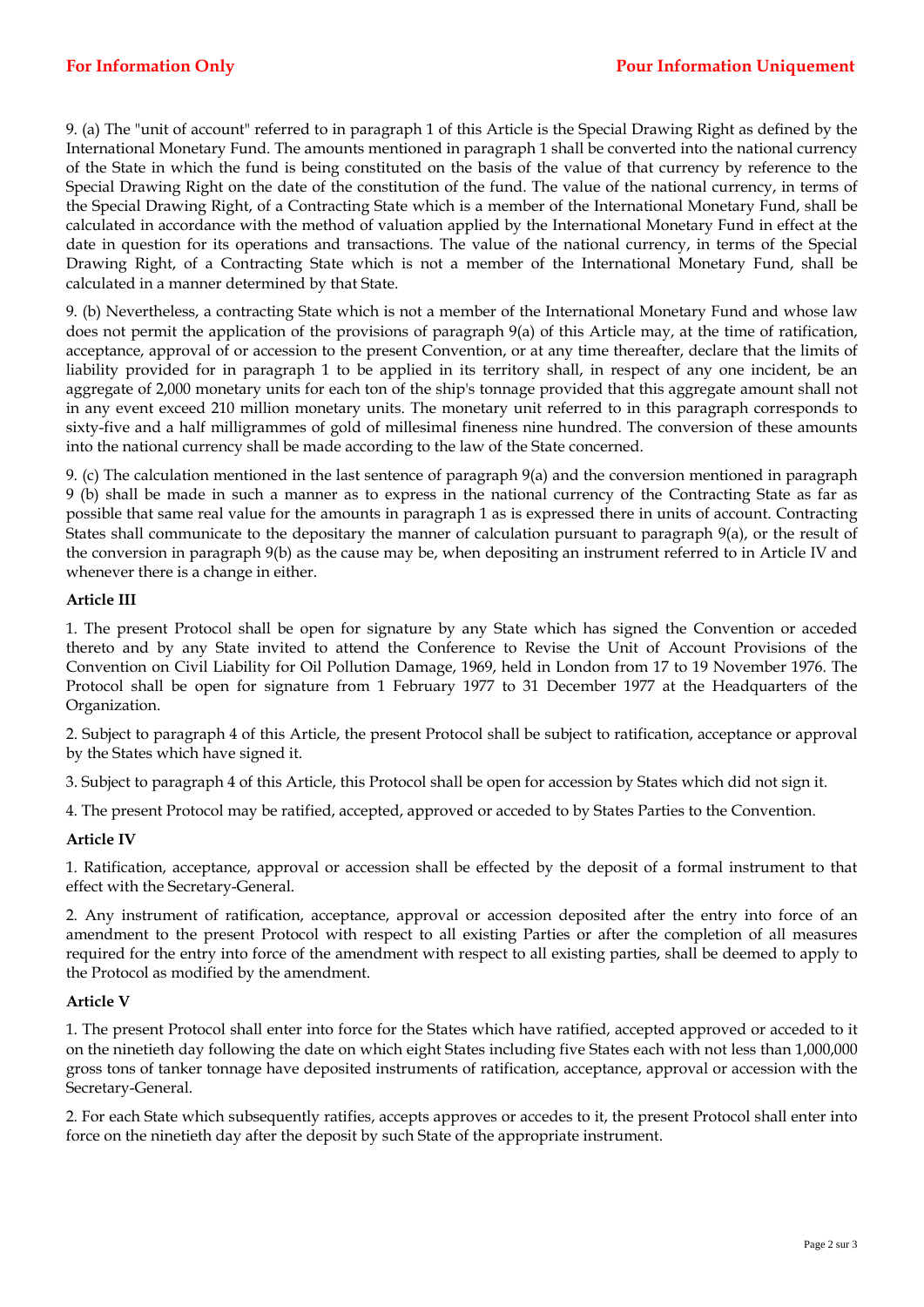9. (a) The "unit of account" referred to in paragraph 1 of this Article is the Special Drawing Right as defined by the International Monetary Fund. The amounts mentioned in paragraph 1 shall be converted into the national currency of the State in which the fund is being constituted on the basis of the value of that currency by reference to the Special Drawing Right on the date of the constitution of the fund. The value of the national currency, in terms of the Special Drawing Right, of a Contracting State which is a member of the International Monetary Fund, shall be calculated in accordance with the method of valuation applied by the International Monetary Fund in effect at the date in question for its operations and transactions. The value of the national currency, in terms of the Special Drawing Right, of a Contracting State which is not a member of the International Monetary Fund, shall be calculated in a manner determined by that State.

9. (b) Nevertheless, a contracting State which is not a member of the International Monetary Fund and whose law does not permit the application of the provisions of paragraph 9(a) of this Article may, at the time of ratification, acceptance, approval of or accession to the present Convention, or at any time thereafter, declare that the limits of liability provided for in paragraph 1 to be applied in its territory shall, in respect of any one incident, be an aggregate of 2,000 monetary units for each ton of the ship's tonnage provided that this aggregate amount shall not in any event exceed 210 million monetary units. The monetary unit referred to in this paragraph corresponds to sixty-five and a half milligrammes of gold of millesimal fineness nine hundred. The conversion of these amounts into the national currency shall be made according to the law of the State concerned.

9. (c) The calculation mentioned in the last sentence of paragraph 9(a) and the conversion mentioned in paragraph 9 (b) shall be made in such a manner as to express in the national currency of the Contracting State as far as possible that same real value for the amounts in paragraph 1 as is expressed there in units of account. Contracting States shall communicate to the depositary the manner of calculation pursuant to paragraph 9(a), or the result of the conversion in paragraph 9(b) as the cause may be, when depositing an instrument referred to in Article IV and whenever there is a change in either.

# **Article III**

1. The present Protocol shall be open for signature by any State which has signed the Convention or acceded thereto and by any State invited to attend the Conference to Revise the Unit of Account Provisions of the Convention on Civil Liability for Oil Pollution Damage, 1969, held in London from 17 to 19 November 1976. The Protocol shall be open for signature from 1 February 1977 to 31 December 1977 at the Headquarters of the Organization.

2. Subject to paragraph 4 of this Article, the present Protocol shall be subject to ratification, acceptance or approval by the States which have signed it.

3. Subject to paragraph 4 of this Article, this Protocol shall be open for accession by States which did not sign it.

4. The present Protocol may be ratified, accepted, approved or acceded to by States Parties to the Convention.

## **Article IV**

1. Ratification, acceptance, approval or accession shall be effected by the deposit of a formal instrument to that effect with the Secretary-General.

2. Any instrument of ratification, acceptance, approval or accession deposited after the entry into force of an amendment to the present Protocol with respect to all existing Parties or after the completion of all measures required for the entry into force of the amendment with respect to all existing parties, shall be deemed to apply to the Protocol as modified by the amendment.

## **Article V**

1. The present Protocol shall enter into force for the States which have ratified, accepted approved or acceded to it on the ninetieth day following the date on which eight States including five States each with not less than 1,000,000 gross tons of tanker tonnage have deposited instruments of ratification, acceptance, approval or accession with the Secretary-General.

2. For each State which subsequently ratifies, accepts approves or accedes to it, the present Protocol shall enter into force on the ninetieth day after the deposit by such State of the appropriate instrument.